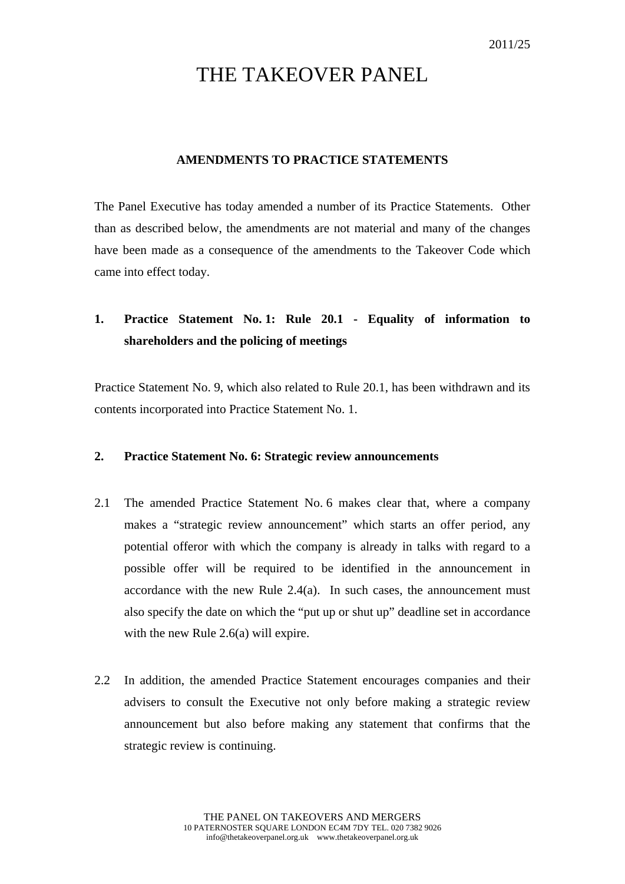# THE TAKEOVER PANEL

#### **AMENDMENTS TO PRACTICE STATEMENTS**

The Panel Executive has today amended a number of its Practice Statements. Other than as described below, the amendments are not material and many of the changes have been made as a consequence of the amendments to the Takeover Code which came into effect today.

## **1. Practice Statement No. 1: Rule 20.1 - Equality of information to shareholders and the policing of meetings**

Practice Statement No. 9, which also related to Rule 20.1, has been withdrawn and its contents incorporated into Practice Statement No. 1.

#### **2. Practice Statement No. 6: Strategic review announcements**

- 2.1 The amended Practice Statement No. 6 makes clear that, where a company makes a "strategic review announcement" which starts an offer period, any potential offeror with which the company is already in talks with regard to a possible offer will be required to be identified in the announcement in accordance with the new Rule 2.4(a). In such cases, the announcement must also specify the date on which the "put up or shut up" deadline set in accordance with the new Rule 2.6(a) will expire.
- 2.2 In addition, the amended Practice Statement encourages companies and their advisers to consult the Executive not only before making a strategic review announcement but also before making any statement that confirms that the strategic review is continuing.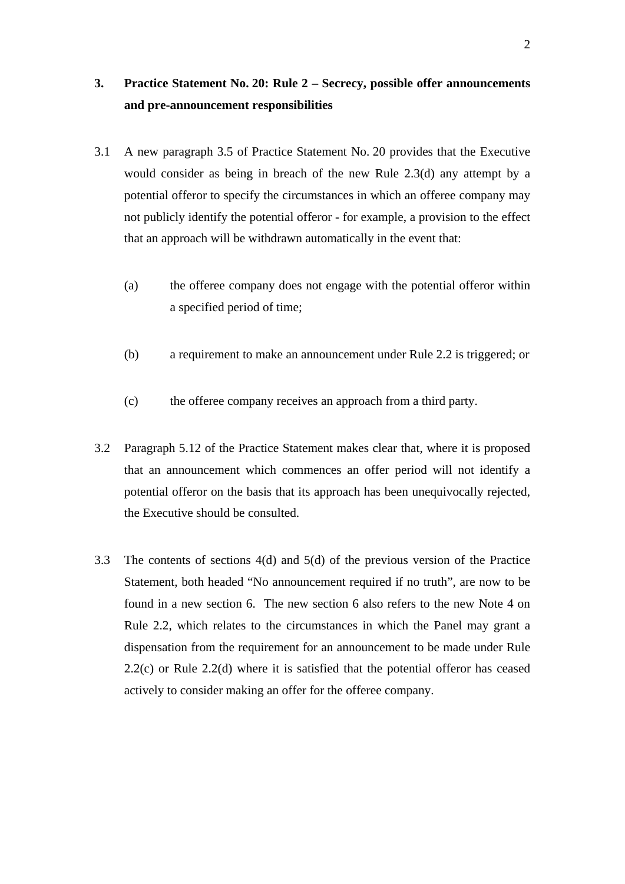### **3. Practice Statement No. 20: Rule 2 – Secrecy, possible offer announcements and pre-announcement responsibilities**

- 3.1 A new paragraph 3.5 of Practice Statement No. 20 provides that the Executive would consider as being in breach of the new Rule 2.3(d) any attempt by a potential offeror to specify the circumstances in which an offeree company may not publicly identify the potential offeror - for example, a provision to the effect that an approach will be withdrawn automatically in the event that:
	- (a) the offeree company does not engage with the potential offeror within a specified period of time;
	- (b) a requirement to make an announcement under Rule 2.2 is triggered; or
	- (c) the offeree company receives an approach from a third party.
- 3.2 Paragraph 5.12 of the Practice Statement makes clear that, where it is proposed that an announcement which commences an offer period will not identify a potential offeror on the basis that its approach has been unequivocally rejected, the Executive should be consulted.
- 3.3 The contents of sections 4(d) and 5(d) of the previous version of the Practice Statement, both headed "No announcement required if no truth", are now to be found in a new section 6. The new section 6 also refers to the new Note 4 on Rule 2.2, which relates to the circumstances in which the Panel may grant a dispensation from the requirement for an announcement to be made under Rule 2.2(c) or Rule 2.2(d) where it is satisfied that the potential offeror has ceased actively to consider making an offer for the offeree company.